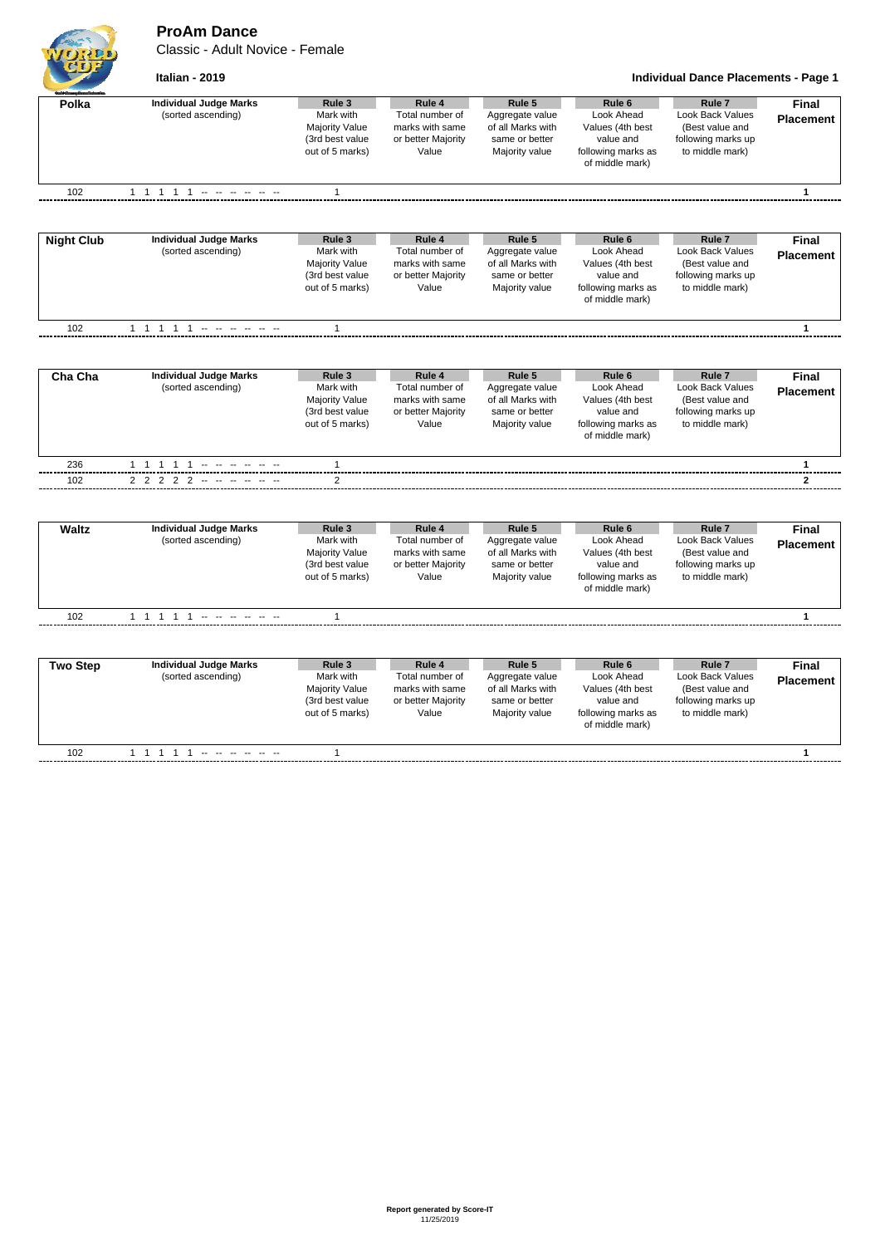## **ProAm Dance**

Classic - Adult Novice - Female



**Italian - 2019 Individual Dance Placements - Page 1**

| Polka             | <b>Individual Judge Marks</b><br>(sorted ascending) | Rule 3<br>Mark with<br><b>Majority Value</b><br>(3rd best value<br>out of 5 marks) | Rule 4<br>Total number of<br>marks with same<br>or better Majority<br>Value | Rule 5<br>Aggregate value<br>of all Marks with<br>same or better<br>Majority value | Rule <sub>6</sub><br>Look Ahead<br>Values (4th best<br>value and<br>following marks as<br>of middle mark) | Rule <sub>7</sub><br>Look Back Values<br>(Best value and<br>following marks up<br>to middle mark)        | <b>Final</b><br><b>Placement</b> |
|-------------------|-----------------------------------------------------|------------------------------------------------------------------------------------|-----------------------------------------------------------------------------|------------------------------------------------------------------------------------|-----------------------------------------------------------------------------------------------------------|----------------------------------------------------------------------------------------------------------|----------------------------------|
| 102               | 1 1 1 1 1 - - - - - -                               | $\mathbf{1}$                                                                       |                                                                             |                                                                                    |                                                                                                           |                                                                                                          | 1                                |
|                   |                                                     |                                                                                    |                                                                             |                                                                                    |                                                                                                           |                                                                                                          |                                  |
| <b>Night Club</b> | <b>Individual Judge Marks</b><br>(sorted ascending) | Rule 3<br>Mark with<br><b>Majority Value</b><br>(3rd best value<br>out of 5 marks) | Rule 4<br>Total number of<br>marks with same<br>or better Majority<br>Value | Rule 5<br>Aggregate value<br>of all Marks with<br>same or better<br>Majority value | Rule <sub>6</sub><br>Look Ahead<br>Values (4th best<br>value and<br>following marks as<br>of middle mark) | Rule <sub>7</sub><br>Look Back Values<br>(Best value and<br>following marks up<br>to middle mark)        | <b>Final</b><br><b>Placement</b> |
| 102               | 1 1 1 1 1 - - - - - -                               | 1                                                                                  |                                                                             |                                                                                    |                                                                                                           |                                                                                                          | 1                                |
|                   |                                                     |                                                                                    |                                                                             |                                                                                    |                                                                                                           |                                                                                                          |                                  |
| Cha Cha           | <b>Individual Judge Marks</b><br>(sorted ascending) | Rule 3<br>Mark with<br><b>Majority Value</b><br>(3rd best value<br>out of 5 marks) | Rule 4<br>Total number of<br>marks with same<br>or better Majority<br>Value | Rule 5<br>Aggregate value<br>of all Marks with<br>same or better<br>Majority value | Rule 6<br>Look Ahead<br>Values (4th best<br>value and<br>following marks as<br>of middle mark)            | Rule <sub>7</sub><br>Look Back Values<br>(Best value and<br>following marks up<br>to middle mark)        | <b>Final</b><br><b>Placement</b> |
| 236               | 1 1 1 1 1 - - - - - -                               | $\mathbf{1}$                                                                       |                                                                             |                                                                                    |                                                                                                           |                                                                                                          | $\mathbf{1}$                     |
| 102               | 2 2 2 2 2                                           | 2                                                                                  |                                                                             |                                                                                    |                                                                                                           |                                                                                                          | $\mathbf{2}$                     |
|                   |                                                     |                                                                                    |                                                                             |                                                                                    |                                                                                                           |                                                                                                          |                                  |
| <b>Waltz</b>      | <b>Individual Judge Marks</b><br>(sorted ascending) | Rule 3<br>Mark with<br><b>Majority Value</b><br>(3rd best value<br>out of 5 marks) | Rule 4<br>Total number of<br>marks with same<br>or better Majority<br>Value | Rule 5<br>Aggregate value<br>of all Marks with<br>same or better<br>Majority value | Rule <sub>6</sub><br>Look Ahead<br>Values (4th best<br>value and<br>following marks as<br>of middle mark) | Rule <sub>7</sub><br>Look Back Values<br>(Best value and<br>following marks up<br>to middle mark)        | <b>Final</b><br><b>Placement</b> |
| 102               | 1 1 1 1 1                                           | $\mathbf{1}$                                                                       |                                                                             |                                                                                    |                                                                                                           |                                                                                                          | $\mathbf{1}$                     |
|                   |                                                     |                                                                                    |                                                                             |                                                                                    |                                                                                                           |                                                                                                          |                                  |
| <b>Two Step</b>   | <b>Individual Judge Marks</b><br>(sorted ascending) | Rule 3<br>Mark with<br>Majority Value<br>(3rd best value<br>out of 5 marks)        | Rule 4<br>Total number of<br>marks with same<br>or better Majority<br>Value | Rule 5<br>Aggregate value<br>of all Marks with<br>same or better<br>Majority value | Rule <sub>6</sub><br>Look Ahead<br>Values (4th best<br>value and<br>following marks as<br>of middle mark) | Rule <sub>7</sub><br><b>Look Back Values</b><br>(Best value and<br>following marks up<br>to middle mark) | <b>Final</b><br><b>Placement</b> |
| 102               |                                                     | $\mathbf{1}$                                                                       |                                                                             |                                                                                    |                                                                                                           |                                                                                                          | 1                                |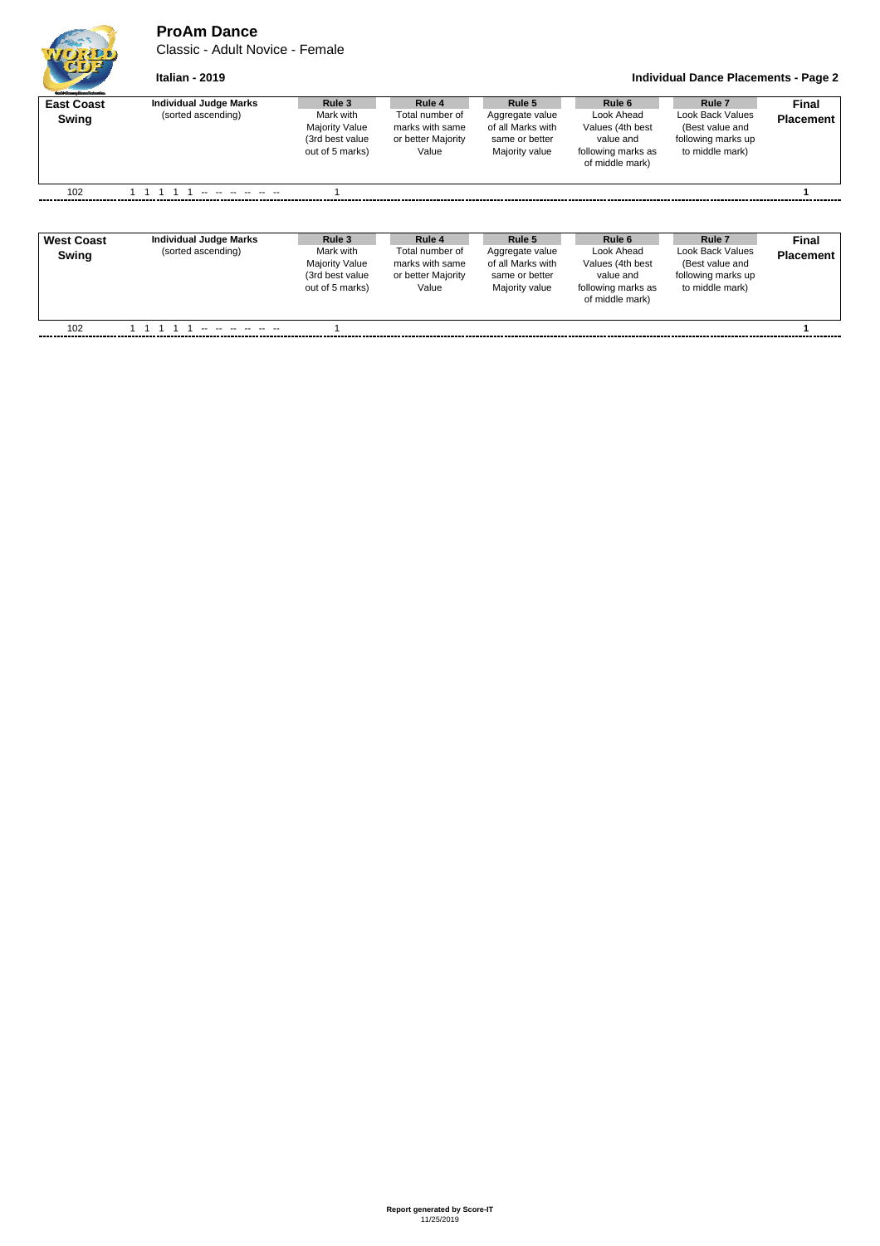## **ProAm Dance**

Classic - Adult Novice - Female

```
Italian - 2019 Individual Dance Placements - Page 2
```

| <b>East Coast</b><br>Swing | <b>Individual Judge Marks</b><br>(sorted ascending) | Rule 3<br>Mark with<br><b>Majority Value</b><br>(3rd best value<br>out of 5 marks) | Rule 4<br>Total number of<br>marks with same<br>or better Majority<br>Value | Rule 5<br>Aggregate value<br>of all Marks with<br>same or better<br>Majority value | Rule 6<br>Look Ahead<br>Values (4th best<br>value and<br>following marks as<br>of middle mark) | Rule <sub>7</sub><br>Look Back Values<br>(Best value and<br>following marks up<br>to middle mark) | <b>Final</b><br><b>Placement</b> |
|----------------------------|-----------------------------------------------------|------------------------------------------------------------------------------------|-----------------------------------------------------------------------------|------------------------------------------------------------------------------------|------------------------------------------------------------------------------------------------|---------------------------------------------------------------------------------------------------|----------------------------------|
| 102                        | <u>.</u> .                                          |                                                                                    |                                                                             |                                                                                    |                                                                                                |                                                                                                   |                                  |

| <b>West Coast</b><br>Swing | <b>Individual Judge Marks</b><br>(sorted ascending) | Rule 3<br>Mark with<br><b>Majority Value</b><br>(3rd best value<br>out of 5 marks) | Rule 4<br>Total number of<br>marks with same<br>or better Majority<br>Value | Rule 5<br>Aggregate value<br>of all Marks with<br>same or better<br>Majority value | Rule 6<br>Look Ahead<br>Values (4th best<br>value and<br>following marks as<br>of middle mark) | Rule <sub>7</sub><br>Look Back Values<br>(Best value and<br>following marks up<br>to middle mark) | Final<br><b>Placement</b> |
|----------------------------|-----------------------------------------------------|------------------------------------------------------------------------------------|-----------------------------------------------------------------------------|------------------------------------------------------------------------------------|------------------------------------------------------------------------------------------------|---------------------------------------------------------------------------------------------------|---------------------------|
| 102                        |                                                     |                                                                                    |                                                                             |                                                                                    |                                                                                                |                                                                                                   |                           |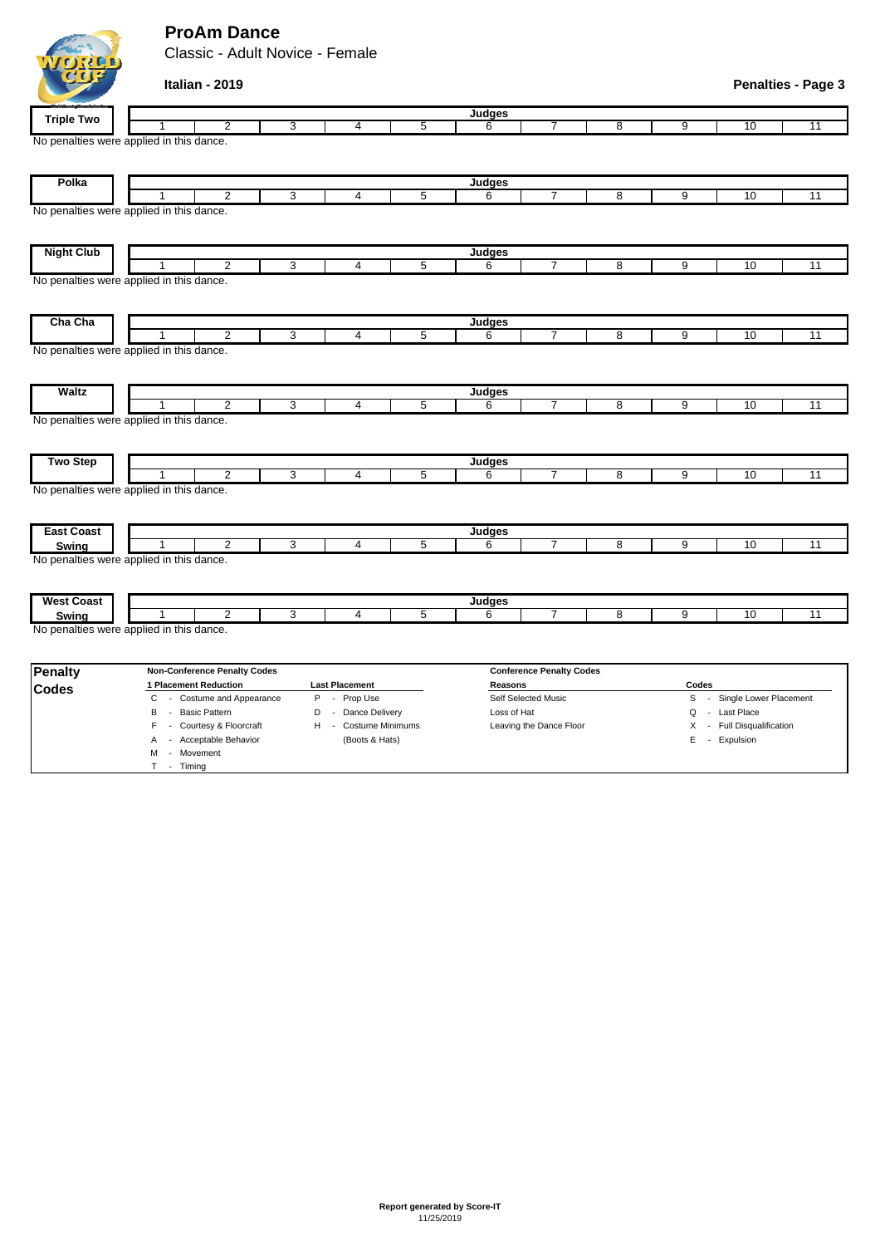## **ProAm Dance**

M - Movement T - Timing

Classic - Adult Novice - Female

|                   | Italian - 2019                                             |   |                         |                |                    |                                 |                |                |                          | <b>Penalties - Page 3</b> |
|-------------------|------------------------------------------------------------|---|-------------------------|----------------|--------------------|---------------------------------|----------------|----------------|--------------------------|---------------------------|
| <b>Triple Two</b> |                                                            |   |                         |                | <b>Judges</b>      |                                 |                |                |                          |                           |
|                   | $\overline{2}$                                             | 3 | $\overline{4}$          | 5              | 6                  | 7                               | $\overline{8}$ | $\overline{9}$ | 10                       | 11                        |
|                   | No penalties were applied in this dance.                   |   |                         |                |                    |                                 |                |                |                          |                           |
| Polka             |                                                            |   |                         |                | Judges             |                                 |                |                |                          |                           |
|                   | $\overline{2}$                                             | 3 | $\overline{4}$          | $\overline{5}$ | 6                  | 7                               | $\overline{8}$ | 9              | 10                       | $\overline{11}$           |
|                   | No penalties were applied in this dance.                   |   |                         |                |                    |                                 |                |                |                          |                           |
| <b>Night Club</b> |                                                            |   |                         |                | Judges             |                                 |                |                |                          |                           |
|                   | $\overline{2}$<br>1                                        | 3 | $\overline{4}$          | 5              | 6                  | $\overline{7}$                  | 8              | 9              | 10                       | 11                        |
|                   | No penalties were applied in this dance.                   |   |                         |                |                    |                                 |                |                |                          |                           |
| Cha Cha           | $\overline{2}$                                             | 3 | $\overline{4}$          | 5              | Judges             | $\overline{7}$                  | 8              | 9              | 10                       | 11                        |
|                   | No penalties were applied in this dance.                   |   |                         |                | 6                  |                                 |                |                |                          |                           |
| <b>Waltz</b>      | $\overline{2}$                                             | 3 | 4                       | 5              | <b>Judges</b><br>6 | 7                               | 8              | 9              | 10                       | 11                        |
|                   | No penalties were applied in this dance.                   |   |                         |                |                    |                                 |                |                |                          |                           |
| <b>Two Step</b>   |                                                            |   |                         |                | Judges             |                                 |                |                |                          |                           |
|                   | $\overline{2}$<br>No penalties were applied in this dance. | 3 | 4                       | $\overline{5}$ | $6\overline{6}$    | 7                               | 8              | 9              | 10                       | $\overline{11}$           |
| <b>East Coast</b> |                                                            |   |                         |                | Judges             |                                 |                |                |                          |                           |
| Swing             | $\overline{2}$                                             | 3 | $\overline{4}$          | 5              | 6                  | 7                               | 8              | 9              | 10                       | $\overline{11}$           |
|                   | No penalties were applied in this dance.                   |   |                         |                |                    |                                 |                |                |                          |                           |
| <b>West Coast</b> | $\overline{2}$<br>-1                                       | 3 | $\overline{\mathbf{4}}$ | 5              | <b>Judges</b><br>6 | $\overline{7}$                  | 8              | 9              | 10                       | 11                        |
| Swing             | No penalties were applied in this dance.                   |   |                         |                |                    |                                 |                |                |                          |                           |
| <b>Penalty</b>    | <b>Non-Conference Penalty Codes</b>                        |   |                         |                |                    | <b>Conference Penalty Codes</b> |                |                |                          |                           |
| <b>Codes</b>      | 1 Placement Reduction                                      |   | <b>Last Placement</b>   |                | Reasons            |                                 |                | Codes          |                          |                           |
|                   | C<br>- Costume and Appearance                              |   | P - Prop Use            |                |                    | Self Selected Music             |                | S              | - Single Lower Placement |                           |

B - Basic Pattern **D** - Dance Delivery Loss of Hat **Loss of Hat Q - Last Place** F - Courtesy & Floorcraft H - Costume Minimums Leaving the Dance Floor X - Full Disqualification A - Acceptable Behavior (Boots & Hats) E - Expulsion